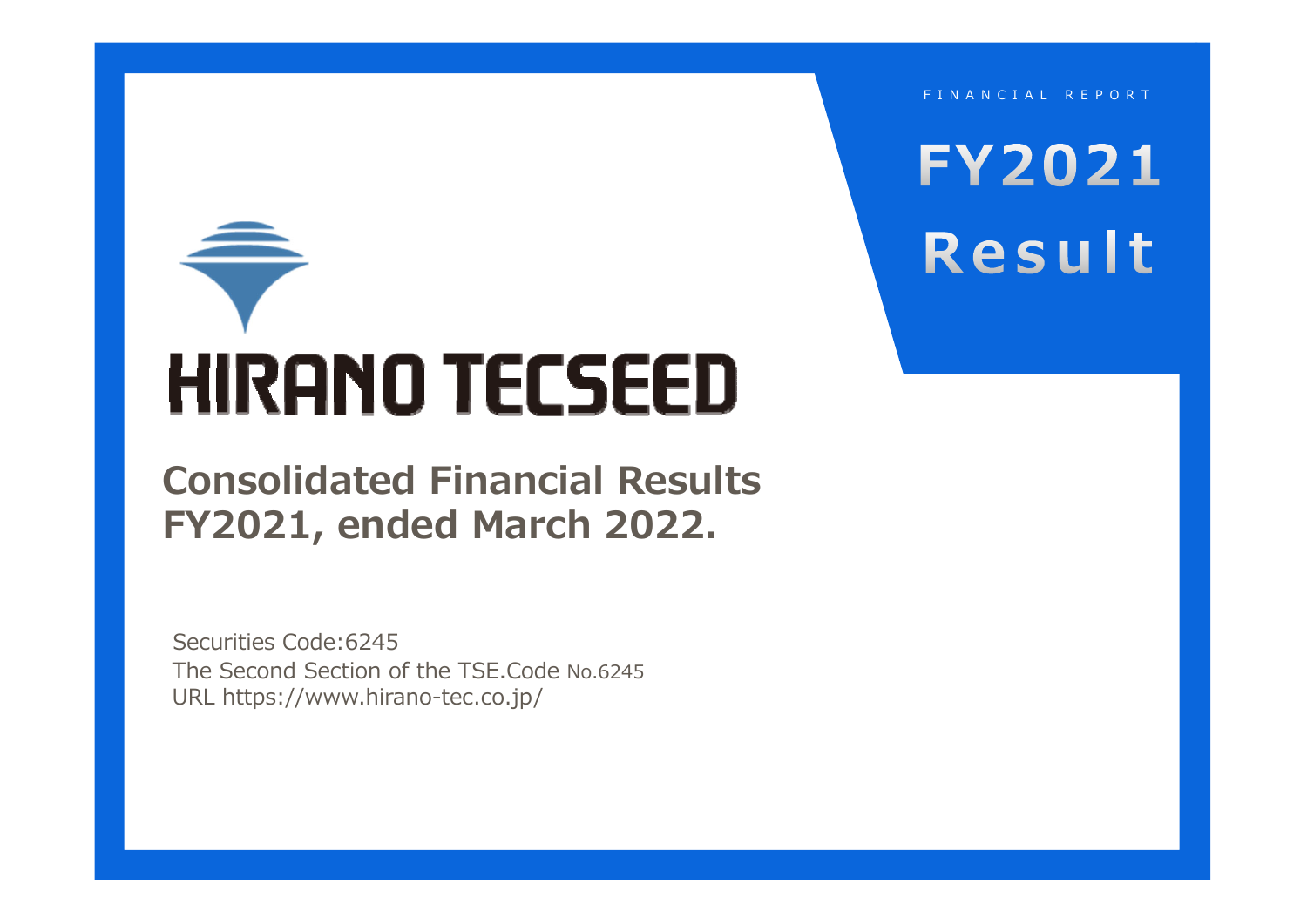**HIRANO TECSEED** 

**Consolidated Financial Results FY2021, ended March 2022.**

The Second Section of the TSE.Code No.6245 URL https://www.hirano-tec.co.jp/ Securities Code:6245

FINANCIAL REPORT

**FY2021** Result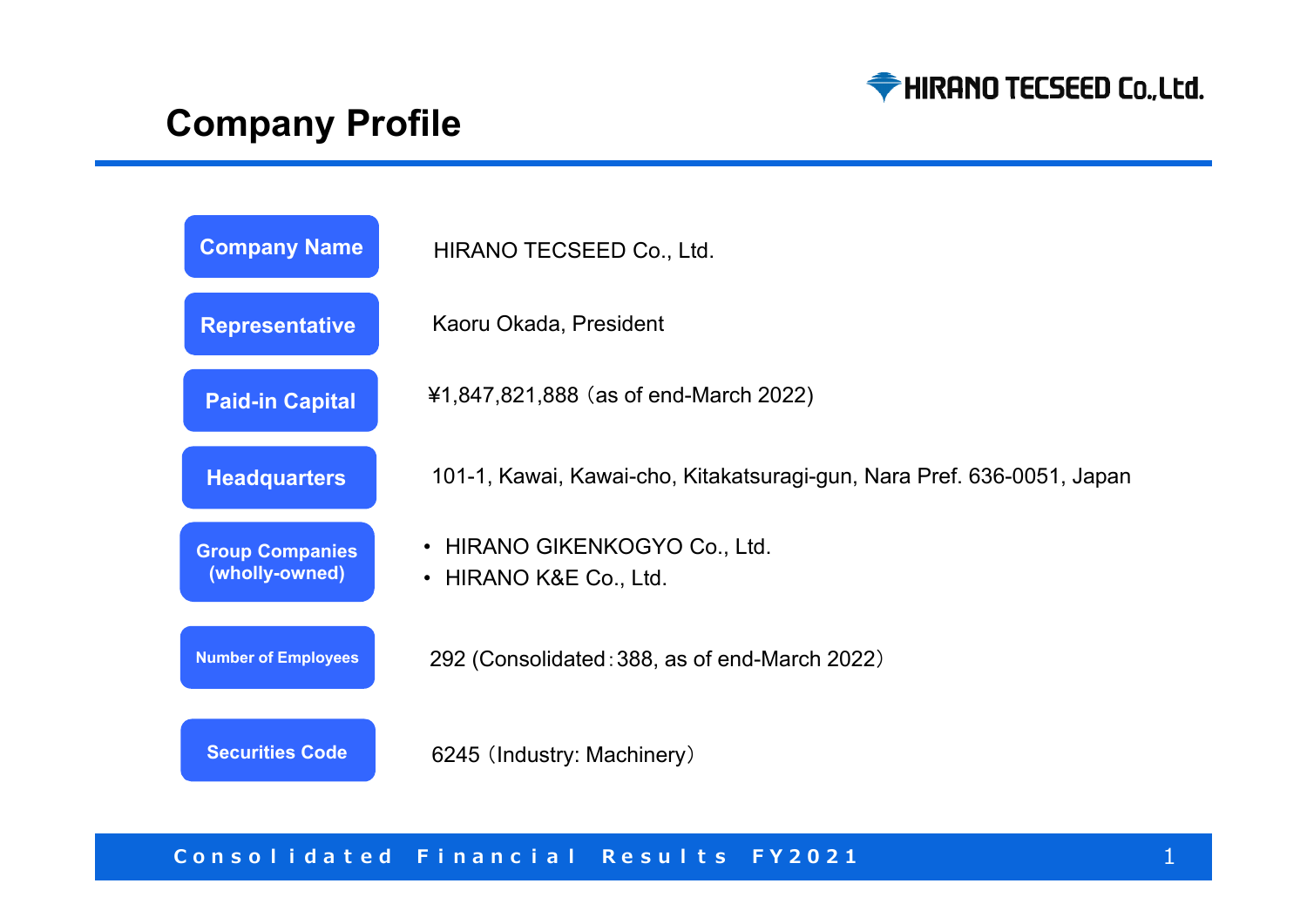

# **Company Profile**

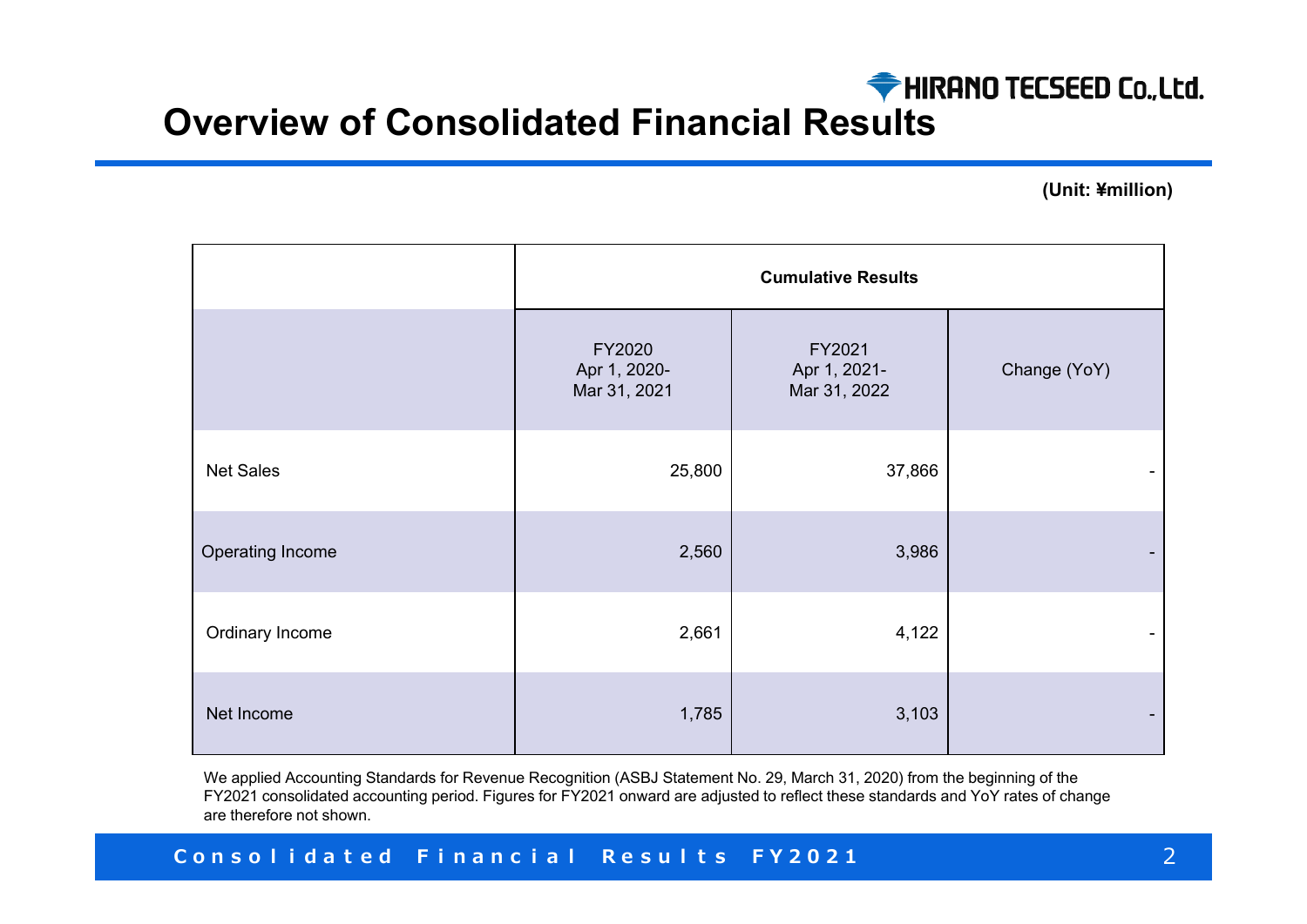

# **Overview of Consolidated Financial Results**

**(Unit: ¥million)**

|                  | <b>Cumulative Results</b>              |                                        |              |
|------------------|----------------------------------------|----------------------------------------|--------------|
|                  | FY2020<br>Apr 1, 2020-<br>Mar 31, 2021 | FY2021<br>Apr 1, 2021-<br>Mar 31, 2022 | Change (YoY) |
| <b>Net Sales</b> | 25,800                                 | 37,866                                 |              |
| Operating Income | 2,560                                  | 3,986                                  |              |
| Ordinary Income  | 2,661                                  | 4,122                                  |              |
| Net Income       | 1,785                                  | 3,103                                  |              |

We applied Accounting Standards for Revenue Recognition (ASBJ Statement No. 29, March 31, 2020) from the beginning of the FY2021 consolidated accounting period. Figures for FY2021 onward are adjusted to reflect these standards and YoY rates of chang e are therefore not shown.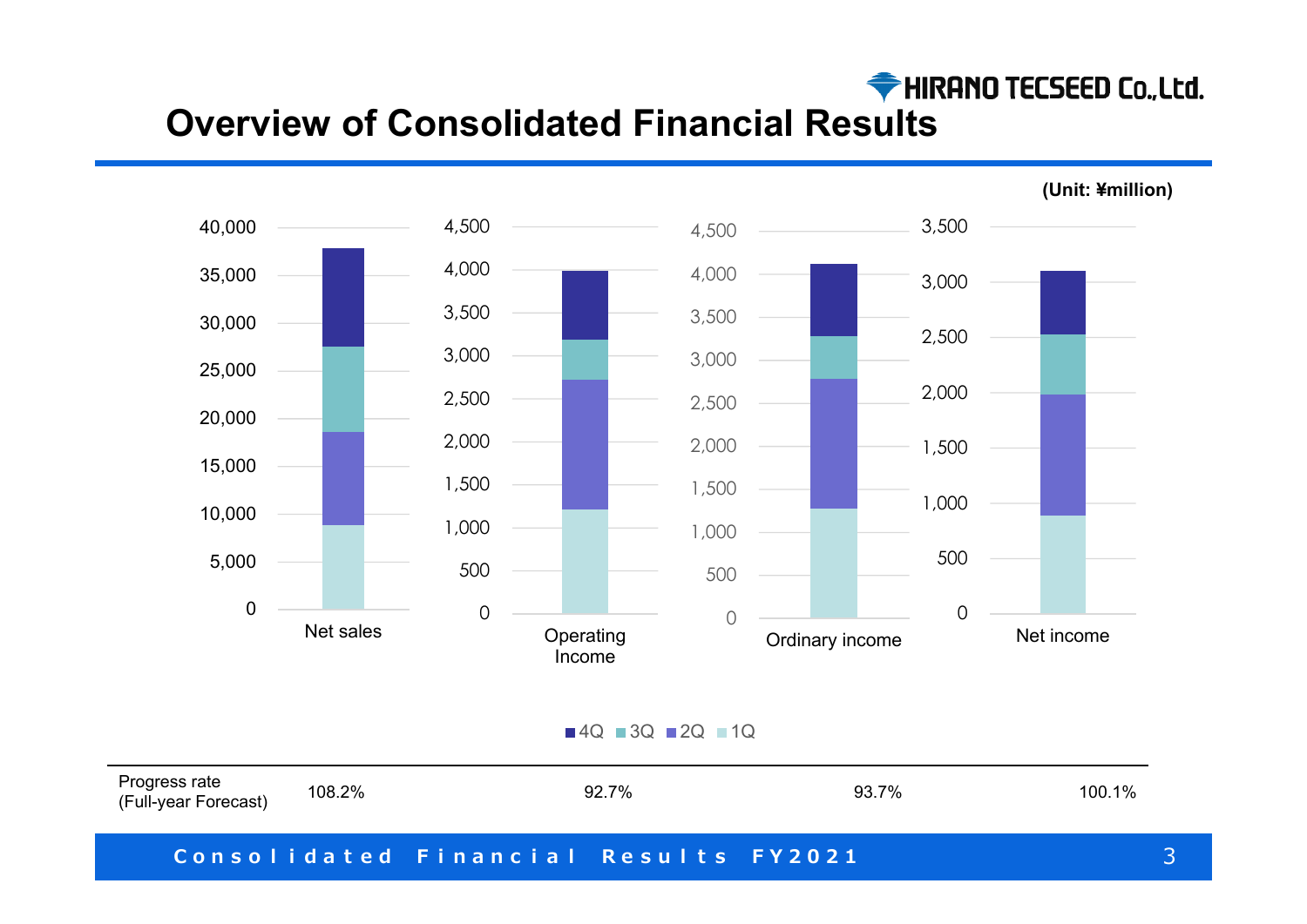

# **Overview of Consolidated Financial Results**



4Q ■3Q ■2Q ■1Q

| Progress rate<br>(Full-year Forecast) | 108.2% | 92.7%                                 | 93.7% | 100.1% |
|---------------------------------------|--------|---------------------------------------|-------|--------|
|                                       |        | Consolidated Financial Results FY2021 |       |        |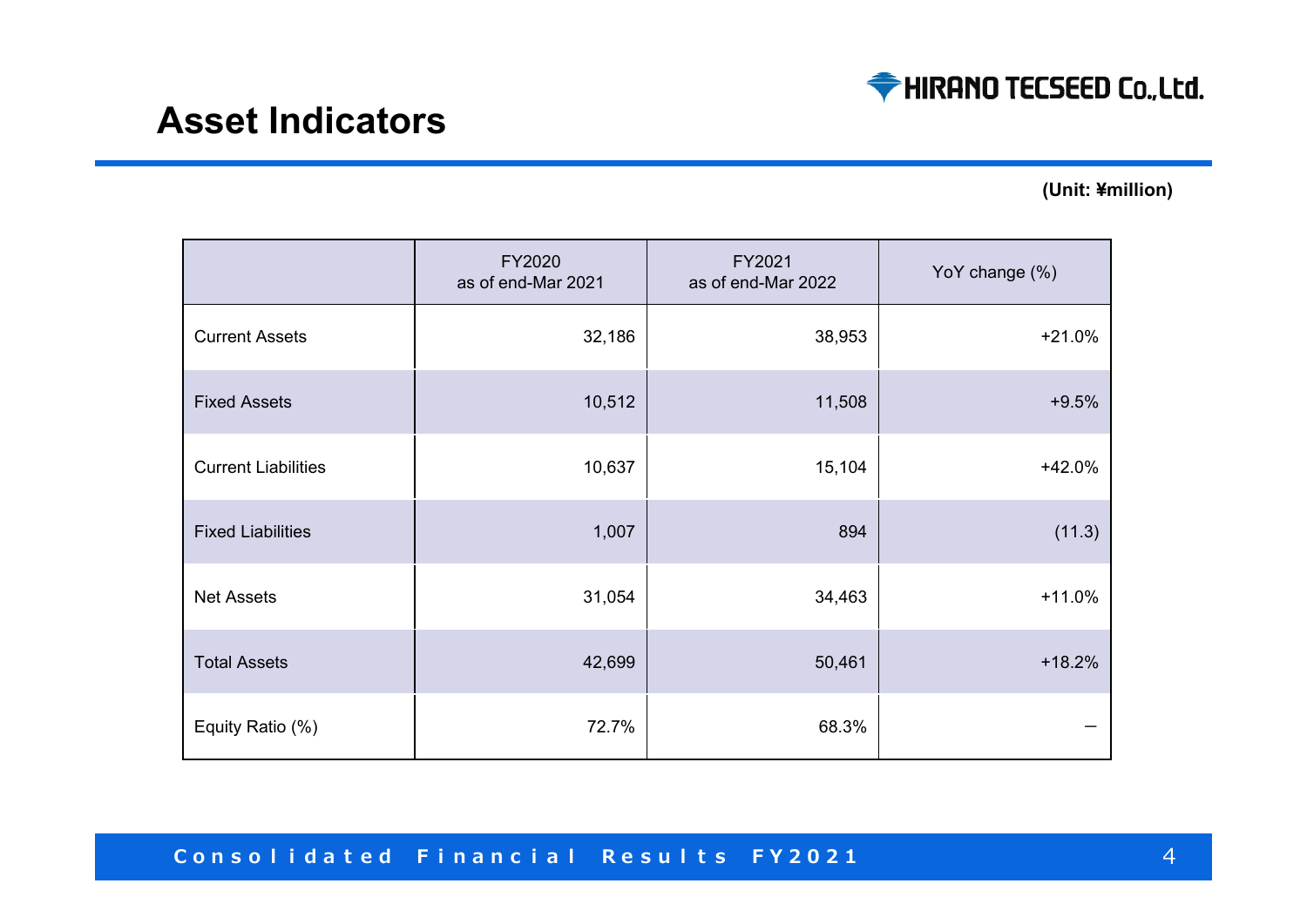

## **Asset Indicators**

**(Unit: ¥million)**

|                            | FY2020<br>as of end-Mar 2021 | FY2021<br>as of end-Mar 2022 | YoY change (%) |
|----------------------------|------------------------------|------------------------------|----------------|
| <b>Current Assets</b>      | 32,186                       | 38,953                       | $+21.0%$       |
| <b>Fixed Assets</b>        | 10,512                       | 11,508                       | $+9.5%$        |
| <b>Current Liabilities</b> | 10,637                       | 15,104                       | $+42.0%$       |
| <b>Fixed Liabilities</b>   | 1,007                        | 894                          | (11.3)         |
| <b>Net Assets</b>          | 31,054                       | 34,463                       | $+11.0%$       |
| <b>Total Assets</b>        | 42,699                       | 50,461                       | $+18.2%$       |
| Equity Ratio (%)           | 72.7%                        | 68.3%                        |                |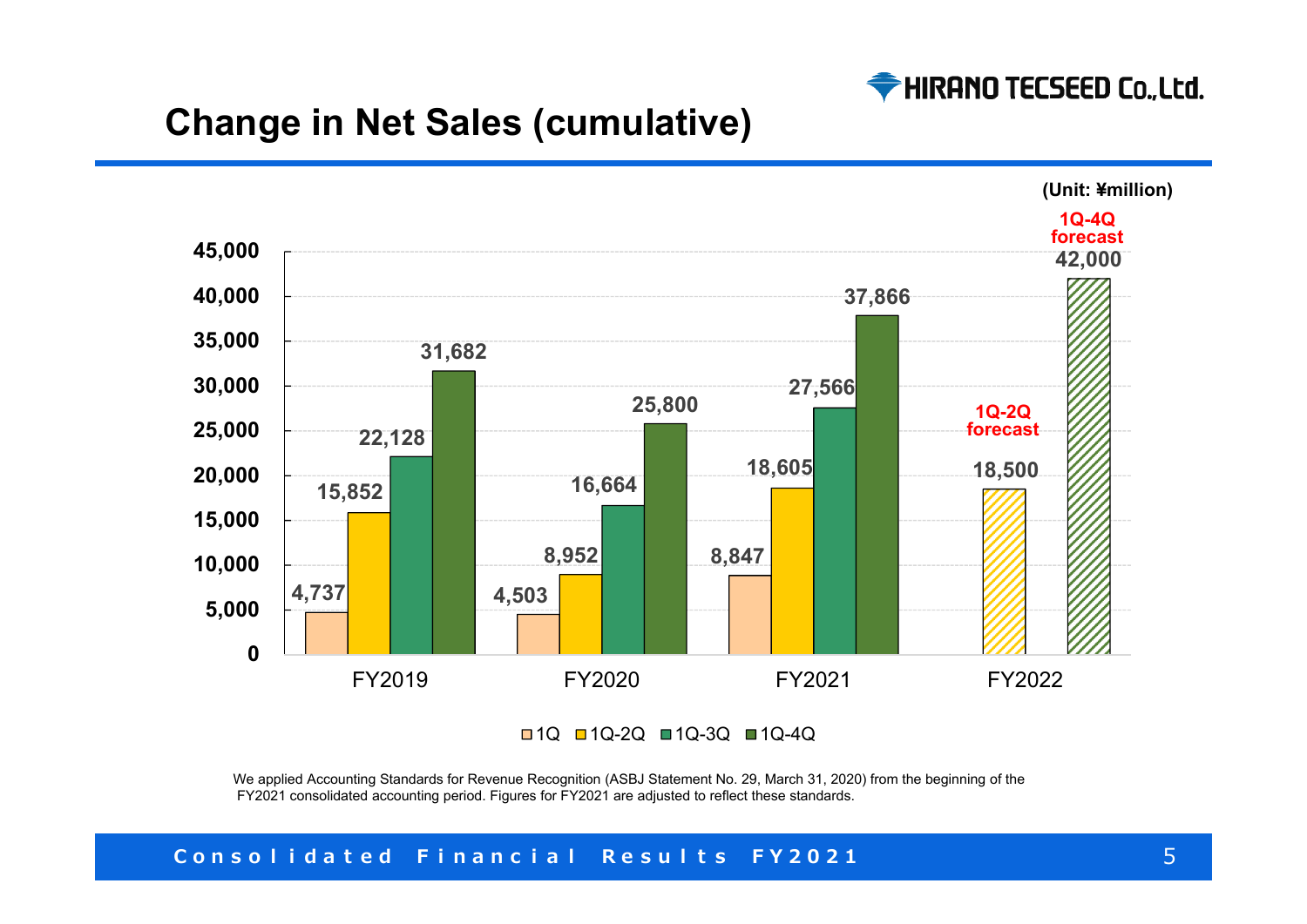

# **Change in Net Sales (cumulative)**



1Q 1Q-2Q 1Q-3Q 1Q-4Q

We applied Accounting Standards for Revenue Recognition (ASBJ Statement No. 29, March 31, 2020) from the beginning of the FY2021 consolidated accounting period. Figures for FY2021 are adjusted to reflect these standards.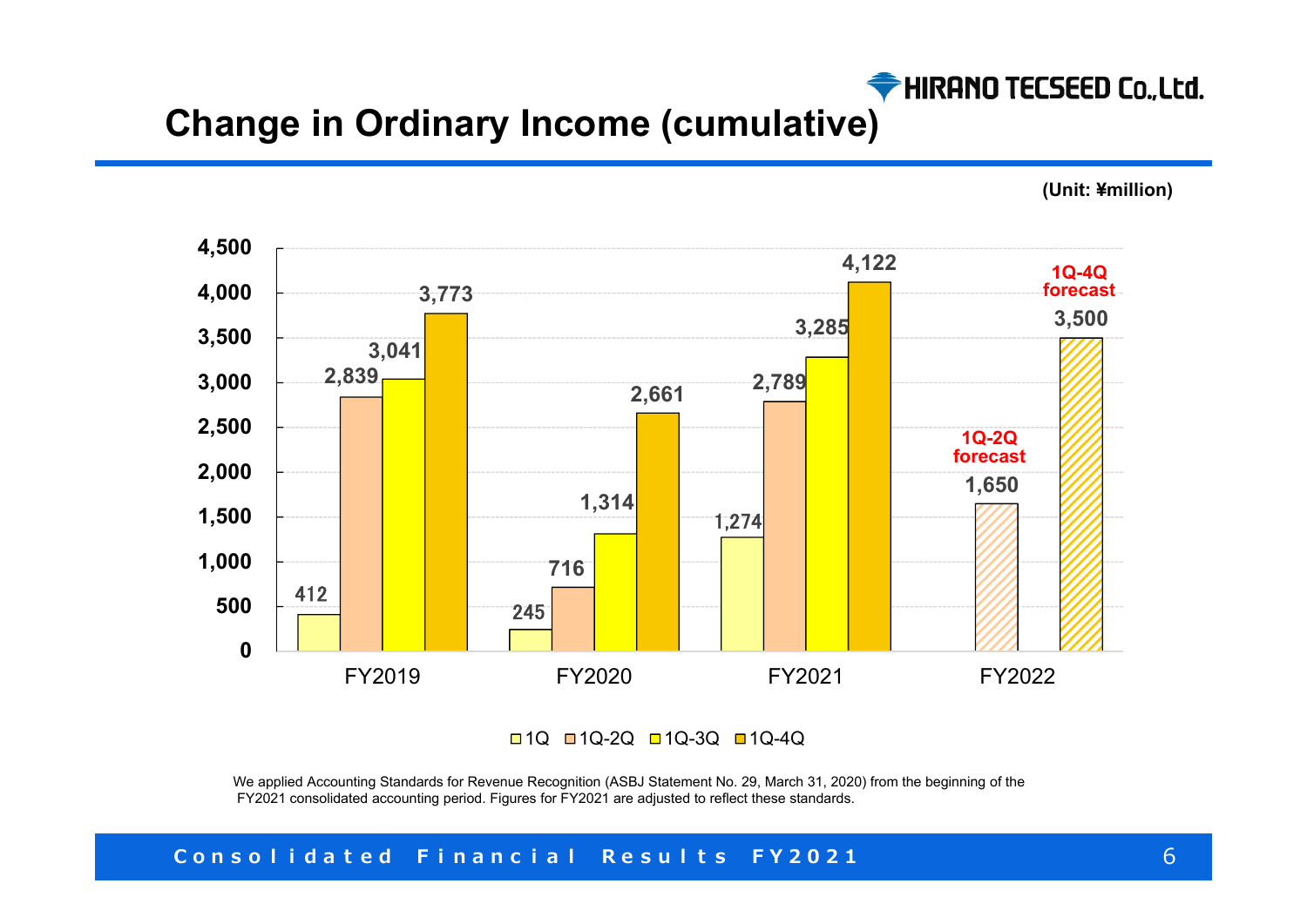

# **Change in Ordinary Income (cumulative)**

**(Unit: ¥million)**



1Q □1Q-2Q □1Q-3Q □1Q-4Q

We applied Accounting Standards for Revenue Recognition (ASBJ Statement No. 29, March 31, 2020) from the beginning of the FY2021 consolidated accounting period. Figures for FY2021 are adjusted to reflect these standards.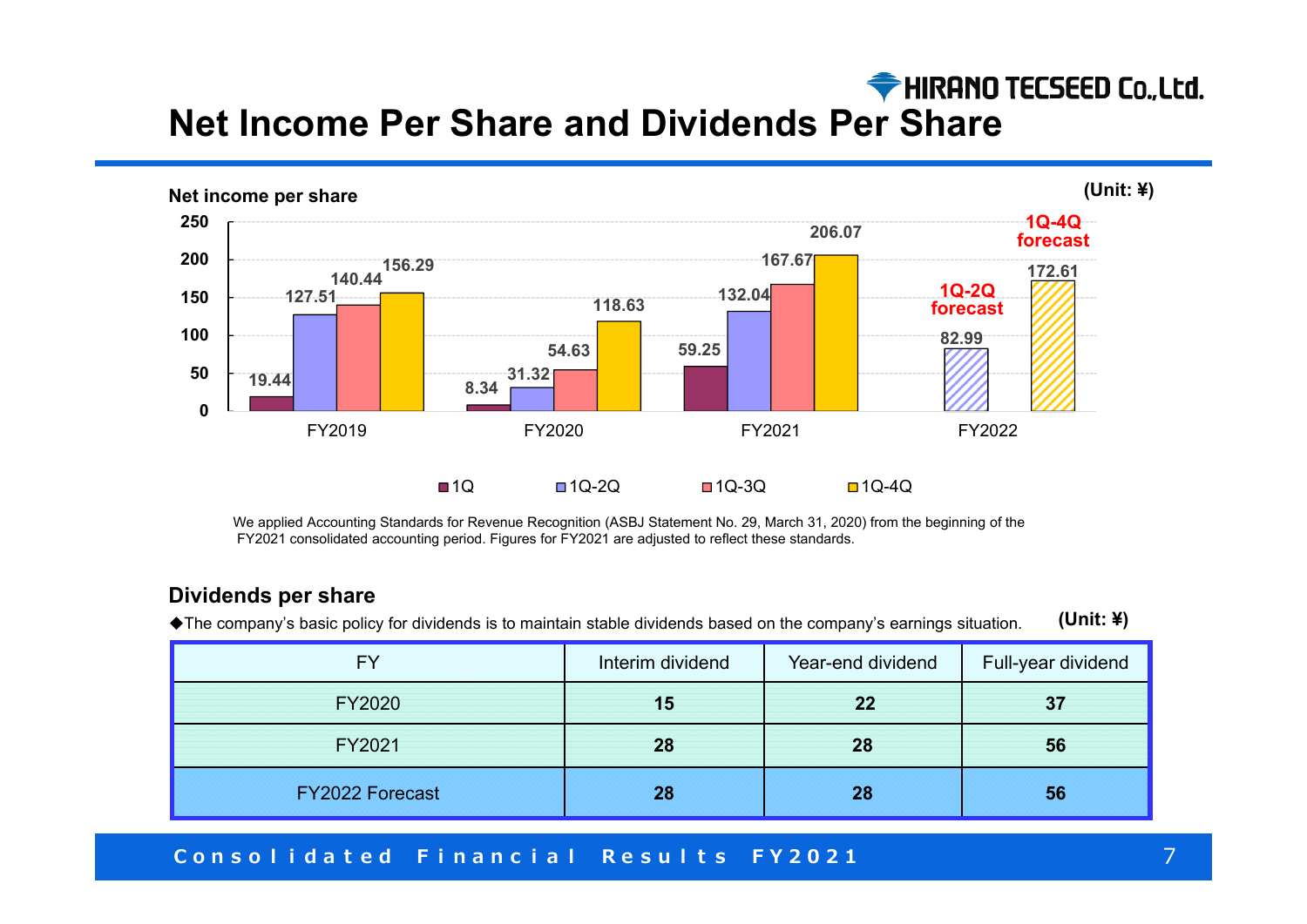## HIRANO TECSEED Co., Ltd. **Net Income Per Share and Dividends Per Share**



We applied Accounting Standards for Revenue Recognition (ASBJ Statement No. 29, March 31, 2020) from the beginning of the FY2021 consolidated accounting period. Figures for FY2021 are adjusted to reflect these standards.

#### **Dividends per share**

◆The company's basic policy for dividends is to maintain stable dividends based on the company's earnings situation. **(Unit: ¥)**

| EV                     | Interim dividend | Year-end dividend | Full-year dividend |
|------------------------|------------------|-------------------|--------------------|
| <b>FY2020</b>          | 15               | 22                | 37                 |
| FY2021                 | 28               | 28                | 56                 |
| <b>FY2022 Forecast</b> | 28               | 28                | 56                 |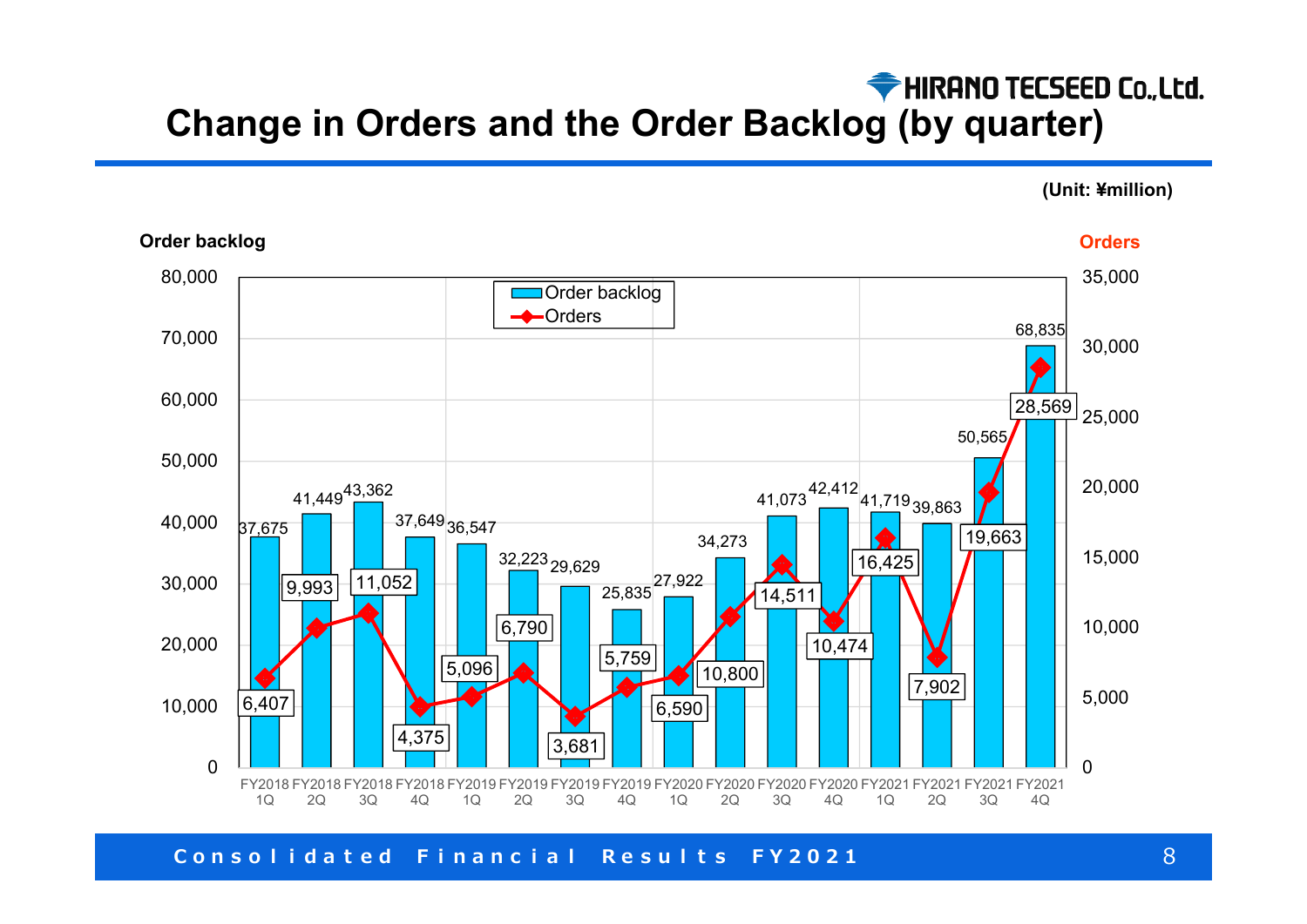# HIRANO TECSEED Co., Ltd. **Change in Orders and the Order Backlog (by quarter)**

**(Unit: ¥million)**



#### **Order backlog Orders**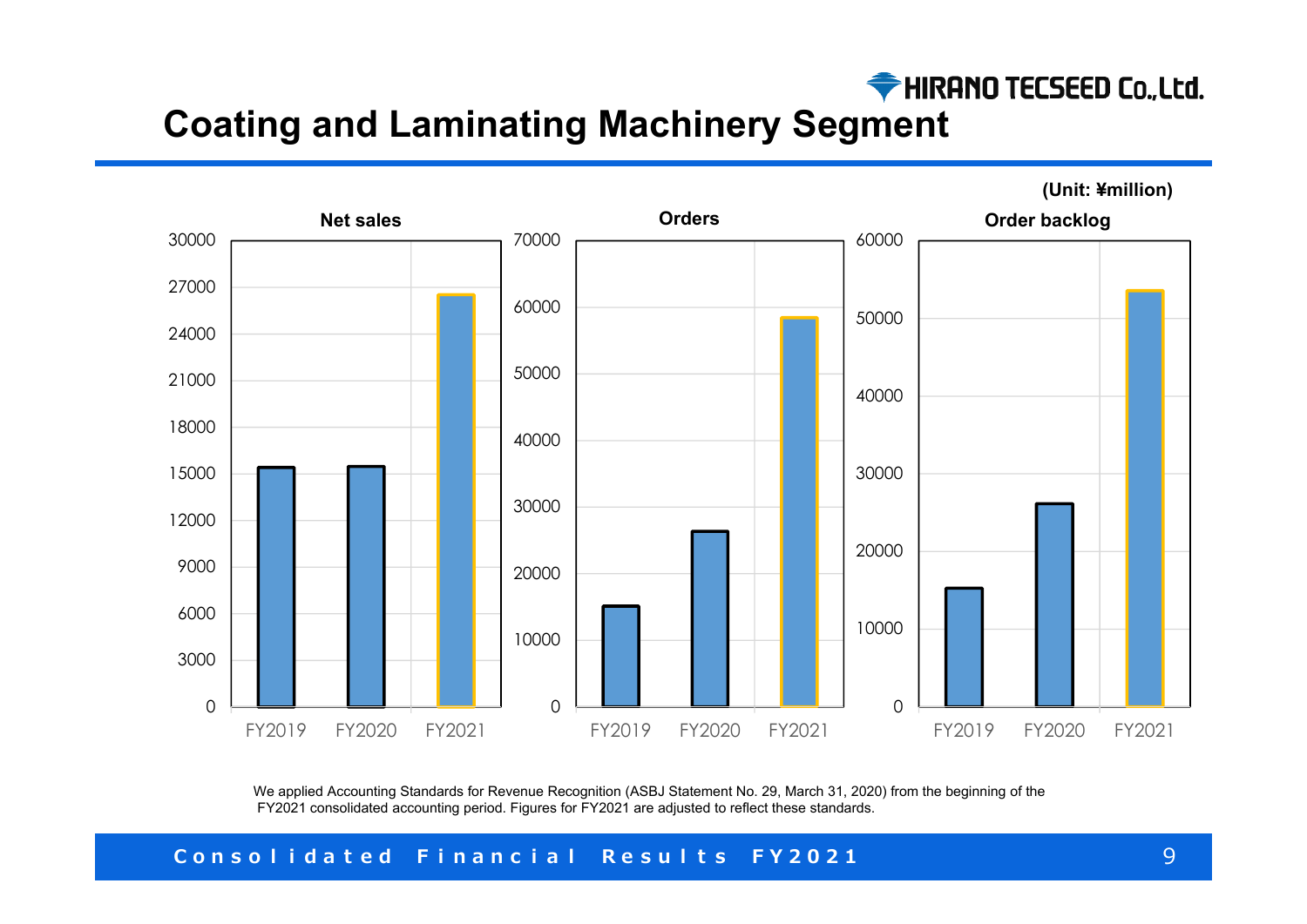

# **Coating and Laminating Machinery Segment**



We applied Accounting Standards for Revenue Recognition (ASBJ Statement No. 29, March 31, 2020) from the beginning of the FY2021 consolidated accounting period. Figures for FY2021 are adjusted to reflect these standards.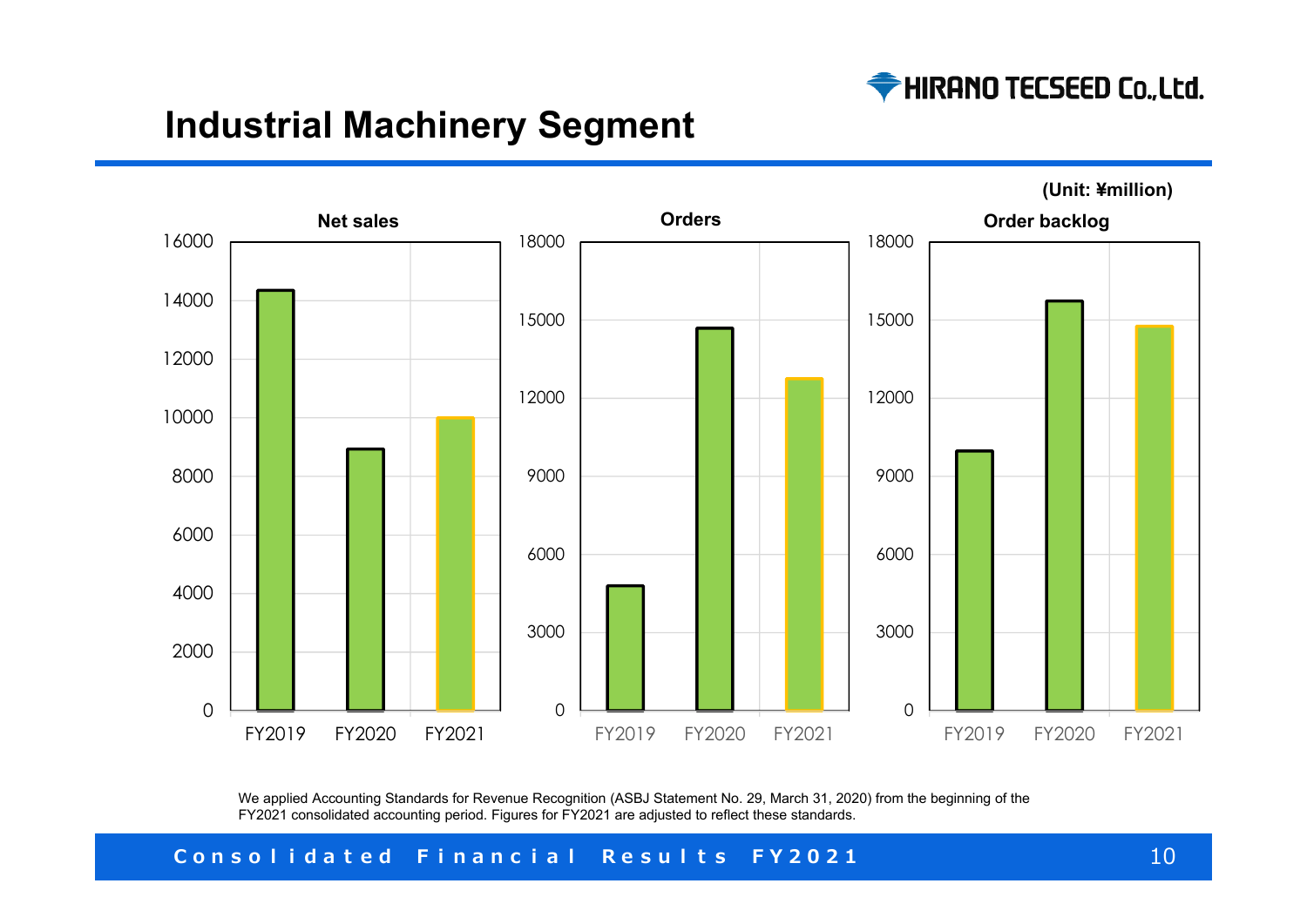

# **Industrial Machinery Segment**



**(Unit: ¥million)**

We applied Accounting Standards for Revenue Recognition (ASBJ Statement No. 29, March 31, 2020) from the beginning of the FY2021 consolidated accounting period. Figures for FY2021 are adjusted to reflect these standards.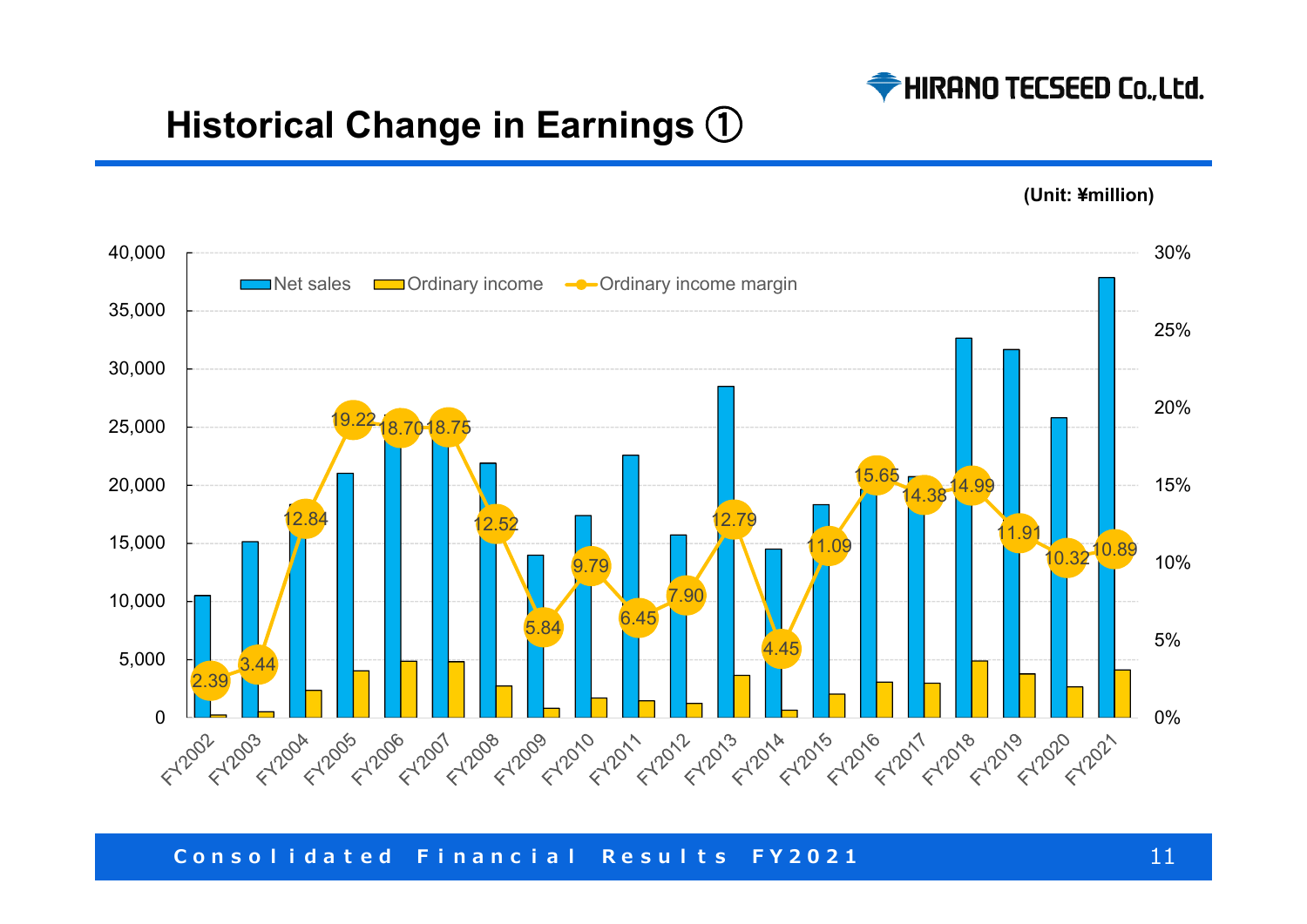

# **Historical Change in Earnings**  ①

**(Unit: ¥million)**

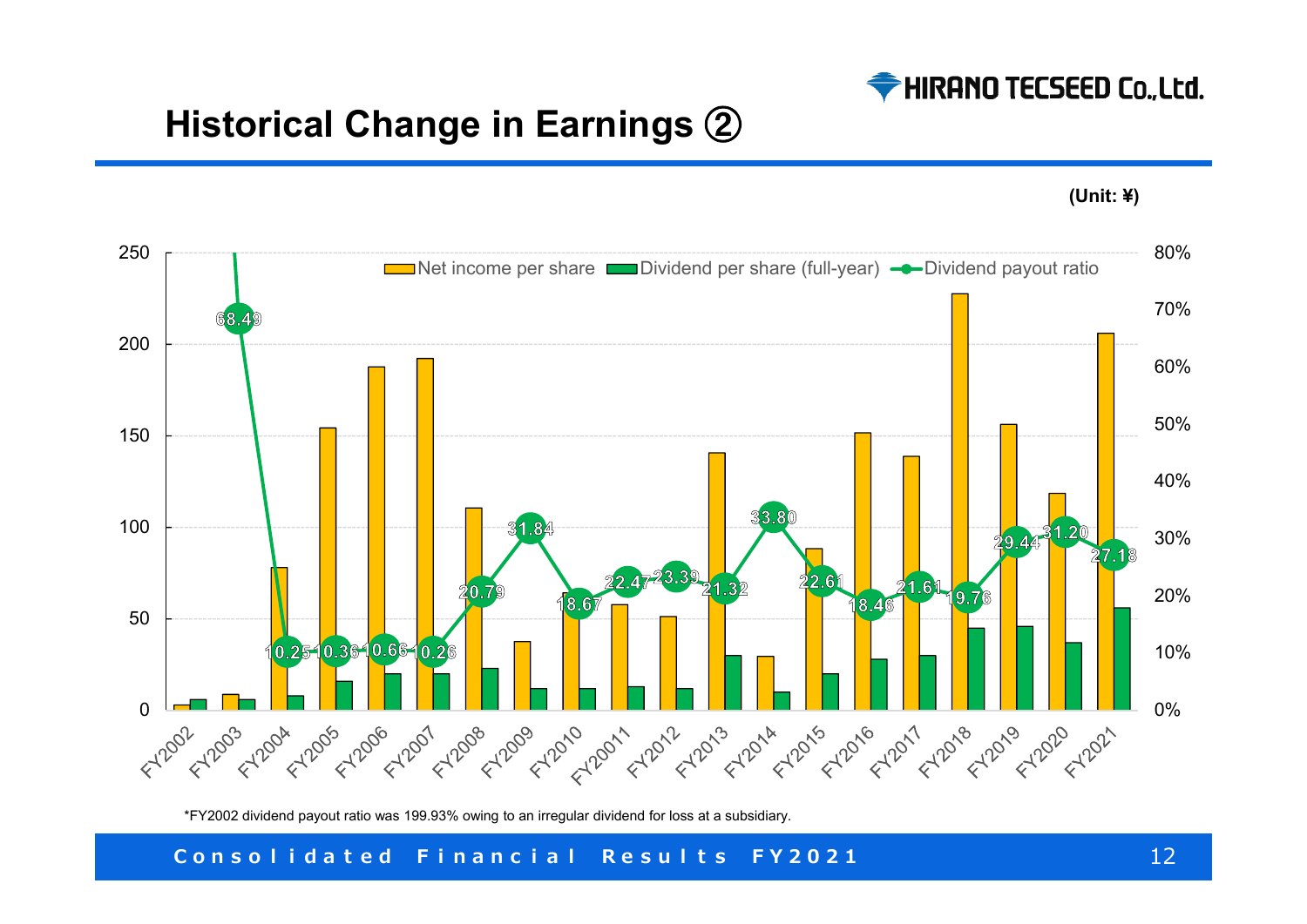

# **Historical Change in Earnings**  ②





\*FY2002 dividend payout ratio was 199.93% owing to an irregular dividend for loss at a subsidiary.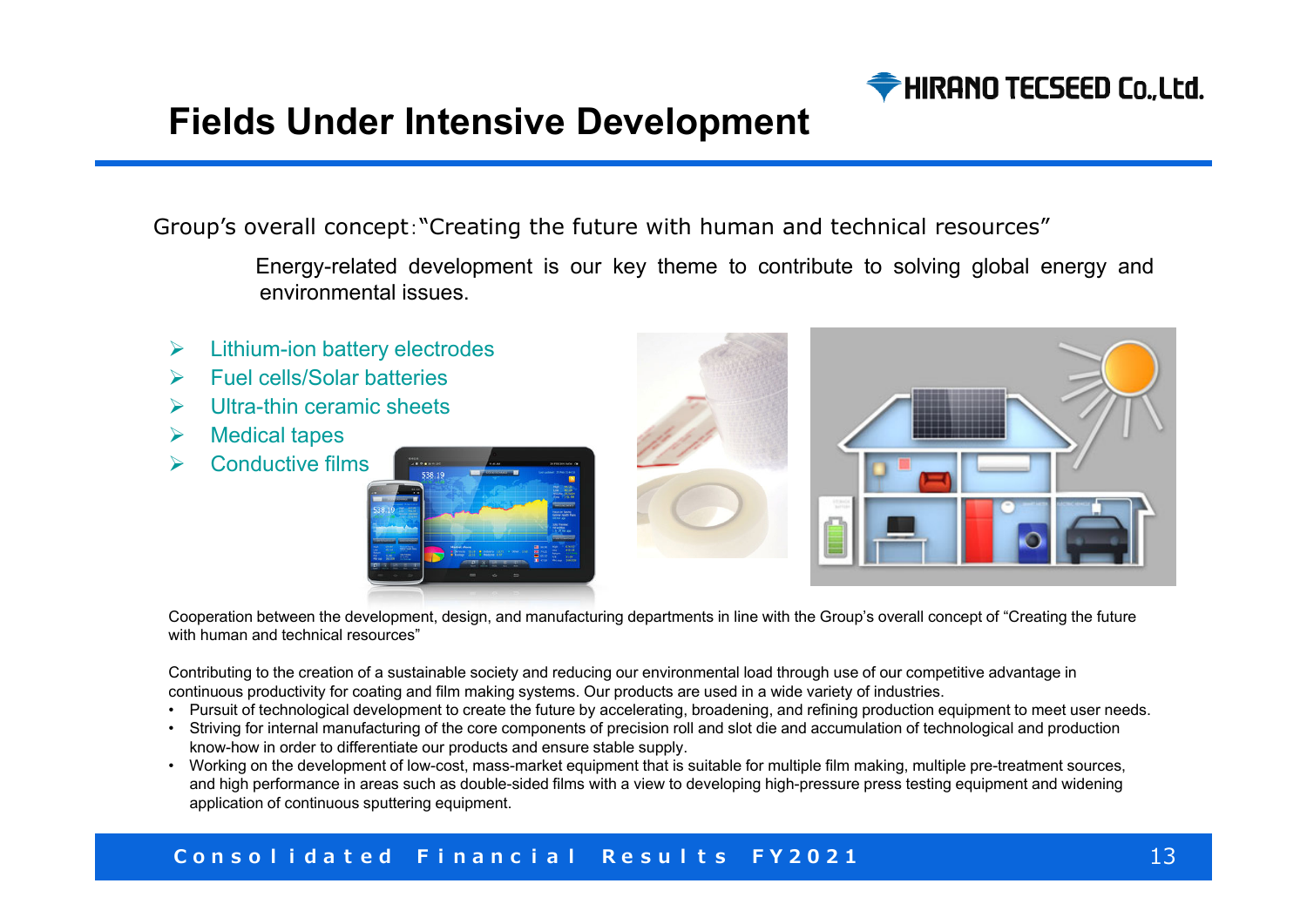

# **Fields Under Intensive Development**

Group's overall concept:"Creating the future with human and technical resources"

Energy-related development is our key theme to contribute to solving global energy and environmental issues.

- $\blacktriangleright$ Lithium-ion battery electrodes
- $\blacktriangleright$ Fuel cells/Solar batteries
- $\blacktriangleright$ Ultra-thin ceramic sheets
- $\blacktriangleright$ Medical tapes
- $\blacktriangleright$ Conductive films





Cooperation between the development, design, and manufacturing departments in line with the Group's overall concept of "Creating the future with human and technical resources"

Contributing to the creation of a sustainable society and reducing our environmental load through use of our competitive advantage in continuous productivity for coating and film making systems. Our products are used in a wide variety of industries.

- Pursuit of technological development to create the future by accelerating, broadening, and refining production equipment to meet user needs.
- Striving for internal manufacturing of the core components of precision roll and slot die and accumulation of technological and production know-how in order to differentiate our products and ensure stable supply.
- Working on the development of low-cost, mass-market equipment that is suitable for multiple film making, multiple pre-treatment sources, and high performance in areas such as double-sided films with a view to developing high-pressure press testing equipment and widening application of continuous sputtering equipment.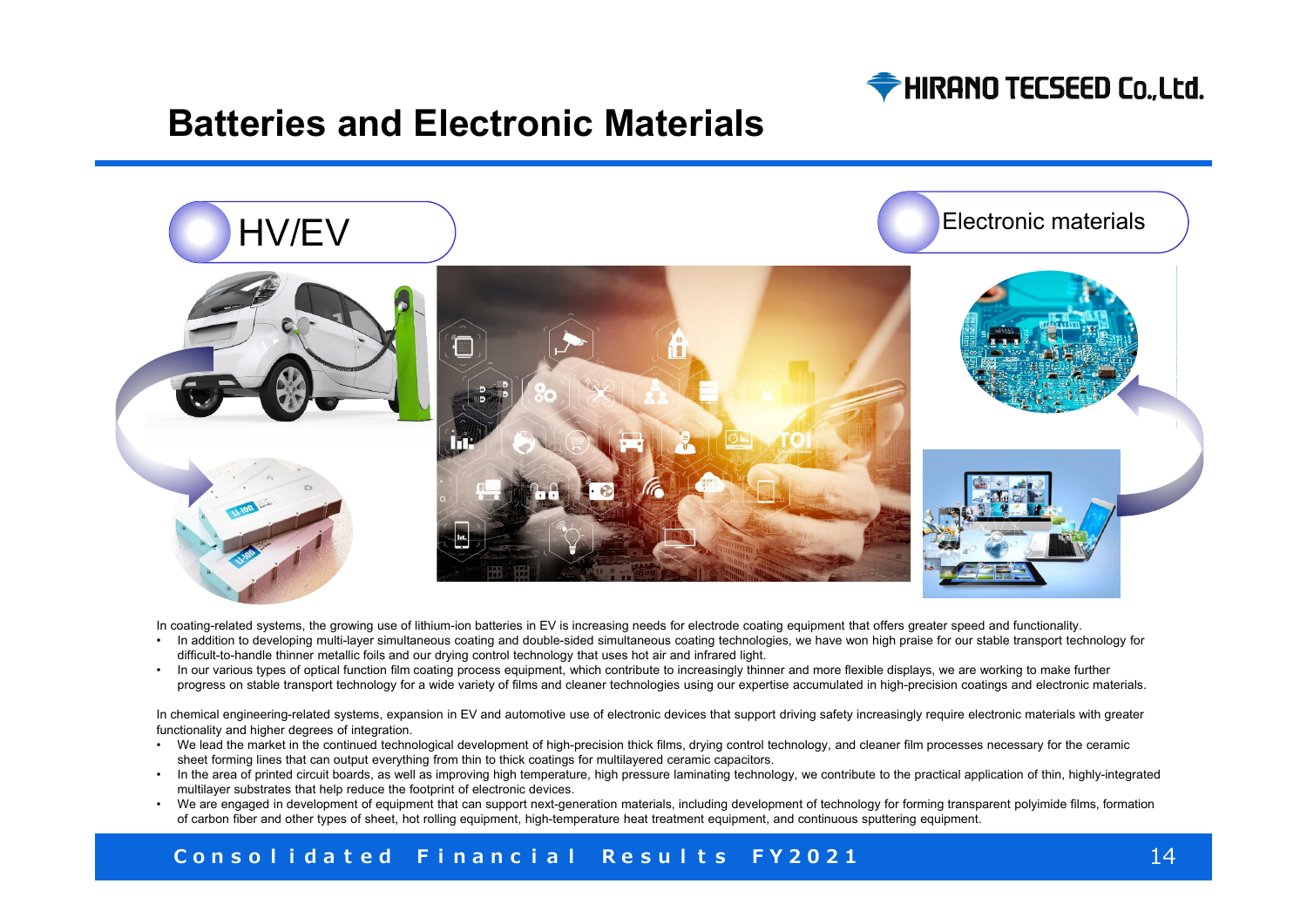

## **Batteries and Electronic Materials**



In coating-related systems, the growing use of lithium-ion batteries in EV is increasing needs for electrode coating equipment that offers greater speed and functionality.

- In addition to developing multi-layer simultaneous coating and double-sided simultaneous coating technologies, we have won high praise for our stable transport technology for difficult-to-handle thinner metallic foils and our drying control technology that uses hot air and infrared light.
- In our various types of optical function film coating process equipment, which contribute to increasingly thinner and more flexible displays, we are working to make further progress on stable transport technology for a wide variety of films and cleaner technologies using our expertise accumulated in high-precision coatings and electronic materials.

In chemical engineering-related systems, expansion in EV and automotive use of electronic devices that support driving safety increasingly require electronic materials with greater functionality and higher degrees of integration

- We lead the market in the continued technological development of high-precision thick films, drying control technology, and cleaner film processes necessary for the ceramic sheet forming lines that can output everything from thin to thick coatings for multilayered ceramic capacitors.
- In the area of printed circuit boards, as well as improving high temperature, high pressure laminating technology, we contribute to the practical application of thin, highly-integrated multilayer substrates that help reduce the footprint of electronic devices.
- We are engaged in development of equipment that can support next-generation materials, including development of technology for forming transparent polyimide films, formation of carbon fiber and other types of sheet, hot rolling equipment, high-temperature heat treatment equipment, and continuous sputtering equipment.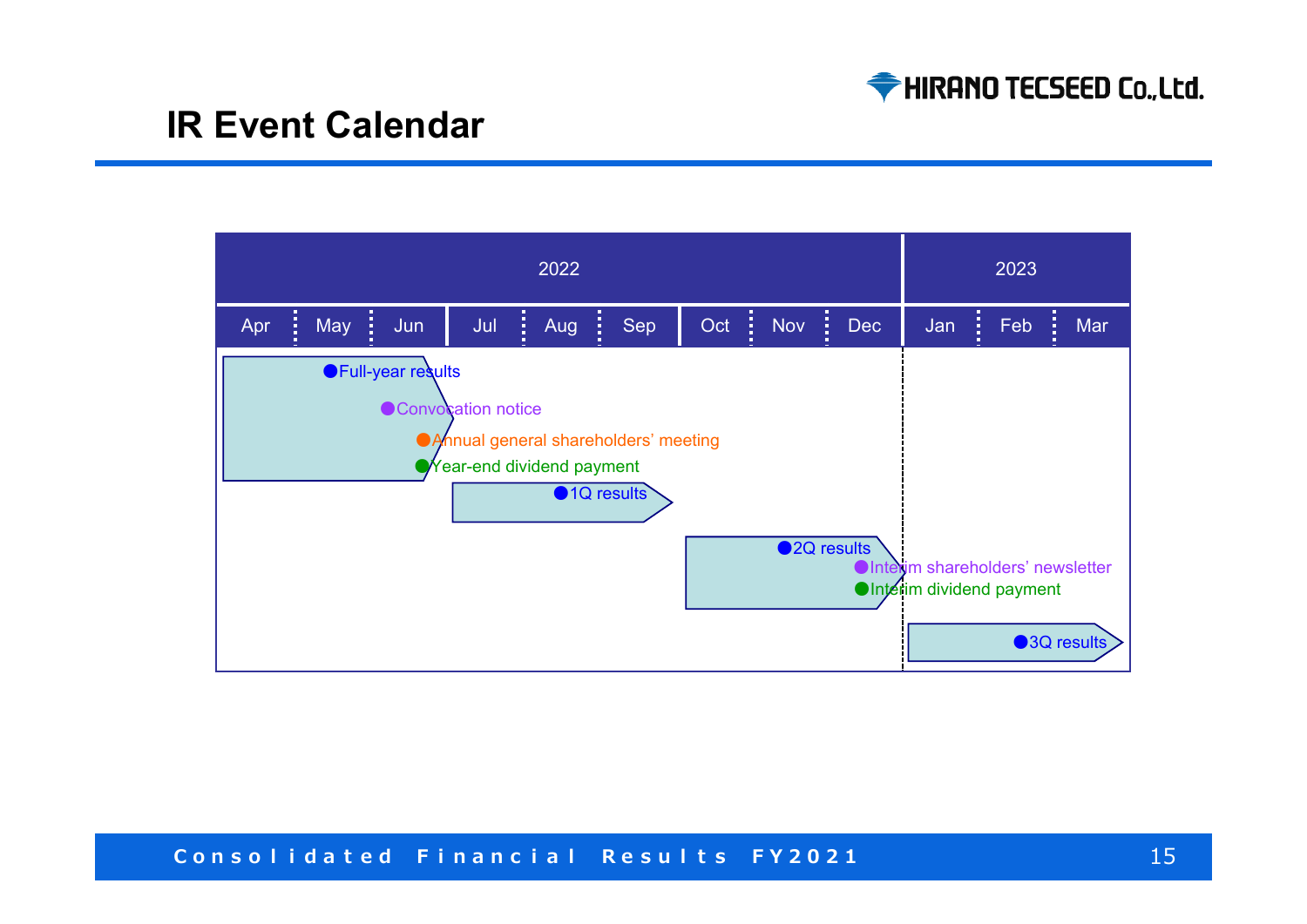

# **IR Event Calendar**